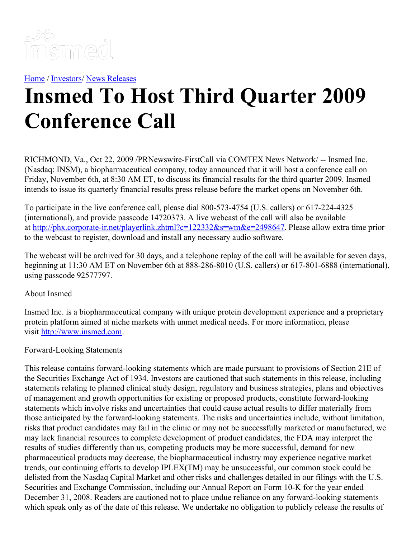

[Home](https://insmed.com/) / [Investors](https://investor.insmed.com/index)/ News [Releases](https://investor.insmed.com/releases)

## **Insmed To Host Third Quarter 2009 Conference Call**

RICHMOND, Va., Oct 22, 2009 /PRNewswire-FirstCall via COMTEX News Network/ -- Insmed Inc. (Nasdaq: INSM), a biopharmaceutical company, today announced that it will host a conference call on Friday, November 6th, at 8:30 AM ET, to discuss its financial results for the third quarter 2009. Insmed intends to issue its quarterly financial results press release before the market opens on November 6th.

To participate in the live conference call, please dial 800-573-4754 (U.S. callers) or 617-224-4325 (international), and provide passcode 14720373. A live webcast of the call will also be available at <http://phx.corporate-ir.net/playerlink.zhtml?c=122332&s=wm&e=2498647>. Please allow extra time prior to the webcast to register, download and install any necessary audio software.

The webcast will be archived for 30 days, and a telephone replay of the call will be available for seven days, beginning at 11:30 AM ET on November 6th at 888-286-8010 (U.S. callers) or 617-801-6888 (international), using passcode 92577797.

## About Insmed

Insmed Inc. is a biopharmaceutical company with unique protein development experience and a proprietary protein platform aimed at niche markets with unmet medical needs. For more information, please visit [http://www.insmed.com](http://www.insmed.com/).

## Forward-Looking Statements

This release contains forward-looking statements which are made pursuant to provisions of Section 21E of the Securities Exchange Act of 1934. Investors are cautioned that such statements in this release, including statements relating to planned clinical study design, regulatory and business strategies, plans and objectives of management and growth opportunities for existing or proposed products, constitute forward-looking statements which involve risks and uncertainties that could cause actual results to differ materially from those anticipated by the forward-looking statements. The risks and uncertainties include, without limitation, risks that product candidates may fail in the clinic or may not be successfully marketed or manufactured, we may lack financial resources to complete development of product candidates, the FDA may interpret the results of studies differently than us, competing products may be more successful, demand for new pharmaceutical products may decrease, the biopharmaceutical industry may experience negative market trends, our continuing efforts to develop IPLEX(TM) may be unsuccessful, our common stock could be delisted from the Nasdaq Capital Market and other risks and challenges detailed in our filings with the U.S. Securities and Exchange Commission, including our Annual Report on Form 10-K for the year ended December 31, 2008. Readers are cautioned not to place undue reliance on any forward-looking statements which speak only as of the date of this release. We undertake no obligation to publicly release the results of